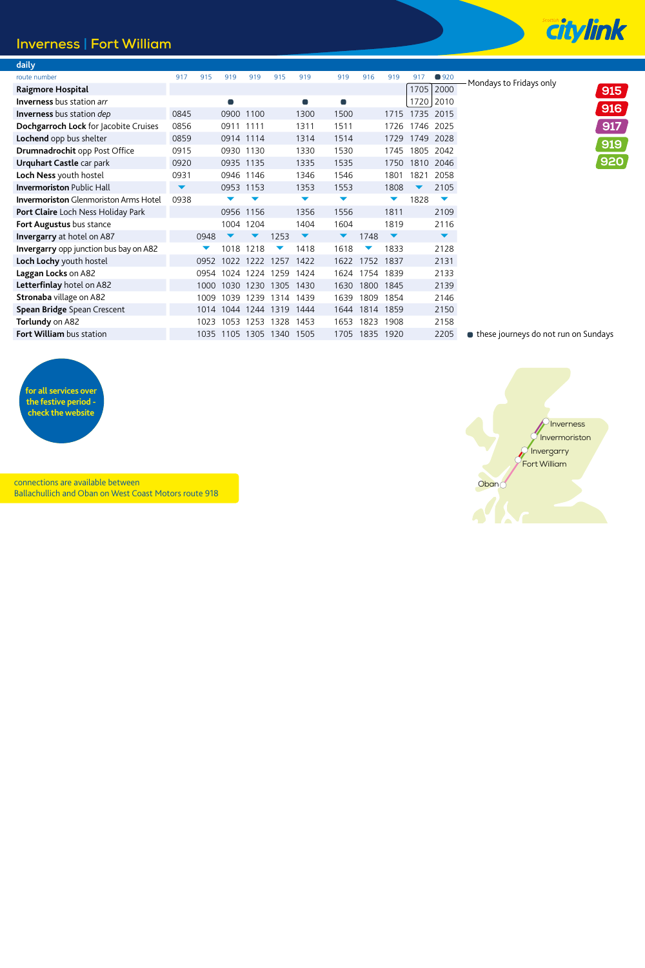## **Inverness | Fort William**

| daily                                         |                      |      |                |           |      |                |                |      |                      |      |                      |                                        |     |
|-----------------------------------------------|----------------------|------|----------------|-----------|------|----------------|----------------|------|----------------------|------|----------------------|----------------------------------------|-----|
| route number                                  | 917                  | 915  | 919            | 919       | 915  | 919            | 919            | 916  | 919                  | 917  | ■ 920                | Mondays to Fridays only                |     |
| Raigmore Hospital                             |                      |      |                |           |      |                |                |      |                      | 1705 | 2000                 |                                        | 915 |
| <b>Inverness</b> bus station arr              |                      |      | $\blacksquare$ |           |      | $\blacksquare$ | $\blacksquare$ |      |                      | 1720 | 2010                 |                                        |     |
| <b>Inverness</b> bus station dep              | 0845                 |      |                | 0900 1100 |      | 1300           | 1500           |      | 1715                 |      | 1735 2015            |                                        | 916 |
| Dochgarroch Lock for Jacobite Cruises         | 0856                 |      | 0911 1111      |           |      | 1311           | 1511           |      | 1726                 |      | 1746 2025            |                                        | 917 |
| Lochend opp bus shelter                       | 0859                 |      | 0914 1114      |           |      | 1314           | 1514           |      | 1729                 | 1749 | 2028                 |                                        | 919 |
| Drumnadrochit opp Post Office                 | 0915                 |      | 0930           | 1130      |      | 1330           | 1530           |      | 1745                 | 1805 | 2042                 |                                        |     |
| Urquhart Castle car park                      | 0920                 |      |                | 0935 1135 |      | 1335           | 1535           |      | 1750                 |      | 1810 2046            |                                        | 920 |
| Loch Ness youth hostel                        | 0931                 |      |                | 0946 1146 |      | 1346           | 1546           |      | 1801                 | 1821 | 2058                 |                                        |     |
| <b>Invermoriston Public Hall</b>              | $\blacktriangledown$ |      | 0953           | 1153      |      | 1353           | 1553           |      | 1808                 |      | 2105                 |                                        |     |
| <b>Invermoriston</b> Glenmoriston Arms Hotel  | 0938                 |      |                |           |      | ▼              | ▼              |      | ▼                    | 1828 | ▼                    |                                        |     |
| Port Claire Loch Ness Holiday Park            |                      |      | 0956           | 1156      |      | 1356           | 1556           |      | 1811                 |      | 2109                 |                                        |     |
| Fort Augustus bus stance                      |                      |      |                | 1004 1204 |      | 1404           | 1604           |      | 1819                 |      | 2116                 |                                        |     |
| <b>Invergarry</b> at hotel on A87             |                      | 0948 |                |           | 1253 | ▼              | ▼              | 1748 | $\blacktriangledown$ |      | $\blacktriangledown$ |                                        |     |
| <b>Invergarry</b> opp junction bus bay on A82 |                      |      | 1018           | 1218      |      | 1418           | 1618           |      | 1833                 |      | 2128                 |                                        |     |
| Loch Lochy youth hostel                       |                      | 0952 | 1022           |           | 1257 | 1422           | 1622           | 1752 | 1837                 |      | 2131                 |                                        |     |
| Laggan Locks on A82                           |                      | 0954 | 1024           | 1224      | 1259 | 1424           | 1624           | 1754 | 1839                 |      | 2133                 |                                        |     |
| Letterfinlay hotel on A82                     |                      | 1000 | 1030           | 1230      | 1305 | 1430           | 1630           | 1800 | 1845                 |      | 2139                 |                                        |     |
| <b>Stronaba</b> village on A82                |                      | 1009 | 1039           | 1239      | 1314 | 1439           | 1639           | 1809 | 1854                 |      | 2146                 |                                        |     |
| <b>Spean Bridge Spean Crescent</b>            |                      | 1014 | 1044           | 1244      | 1319 | 1444           | 1644           | 1814 | 1859                 |      | 2150                 |                                        |     |
| Torlundy on A82                               |                      | 1023 | 1053           | 1253      | 1328 | 1453           | 1653           | 1823 | 1908                 |      | 2158                 |                                        |     |
| <b>Fort William bus station</b>               |                      | 1035 | 1105           | 1305      | 1340 | 1505           | 1705           | 1835 | 1920                 |      | 2205                 | ■ these journeys do not run on Sundays |     |
|                                               |                      |      |                |           |      |                |                |      |                      |      |                      |                                        |     |



connections are available between Ballachullich and Oban on West Coast Motors route 918